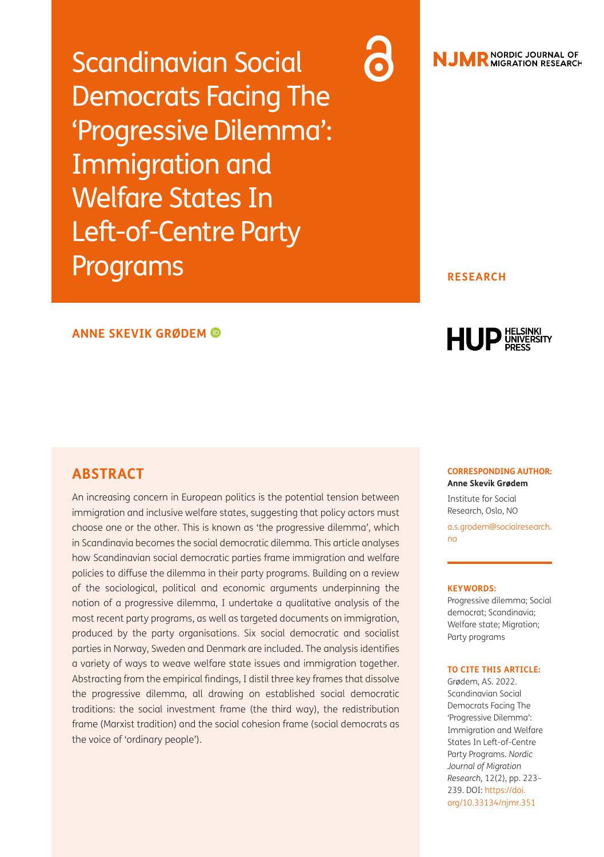Scandinavian Social Democrats Facing The 'Progressive Dilemma': Immigration and Welfare States In Left-of-Centre Party Programs



# **NJMR** NORDIC JOURNAL OF

#### **RESEARCH**

#### **ANNE SKEVIK GRØDEM**

## **ABSTRACT**

An increasing concern in European politics is the potential tension between immigration and inclusive welfare states, suggesting that policy actors must choose one or the other. This is known as 'the progressive dilemma', which in Scandinavia becomes the social democratic dilemma. This article analyses how Scandinavian social democratic parties frame immigration and welfare policies to diffuse the dilemma in their party programs. Building on a review of the sociological, political and economic arguments underpinning the notion of a progressive dilemma, I undertake a qualitative analysis of the most recent party programs, as well as targeted documents on immigration, produced by the party organisations. Six social democratic and socialist parties in Norway, Sweden and Denmark are included. The analysis identifies a variety of ways to weave welfare state issues and immigration together. Abstracting from the empirical findings, I distil three key frames that dissolve the progressive dilemma, all drawing on established social democratic traditions: the social investment frame (the third way), the redistribution frame (Marxist tradition) and the social cohesion frame (social democrats as the voice of 'ordinary people').

HUP UNIVERSITY

#### **CORRESPONDING AUTHOR: Anne Skevik Grødem**

Institute for Social Research, Oslo, NO [a.s.grodem@socialresearch.](mailto:a.s.grodem@socialresearch.no) [no](mailto:a.s.grodem@socialresearch.no)

#### **KEYWORDS:**

Progressive dilemma; Social democrat; Scandinavia; Welfare state; Migration; Party programs

#### **TO CITE THIS ARTICLE:**

Grødem, AS. 2022. Scandinavian Social Democrats Facing The 'Progressive Dilemma': Immigration and Welfare States In Left-of-Centre Party Programs. *Nordic Journal of Migration Research,* 12(2), pp. 223– 239. DOI: [https://doi.](https://doi.org/10.33134/njmr.351) [org/10.33134/njmr.351](https://doi.org/10.33134/njmr.351)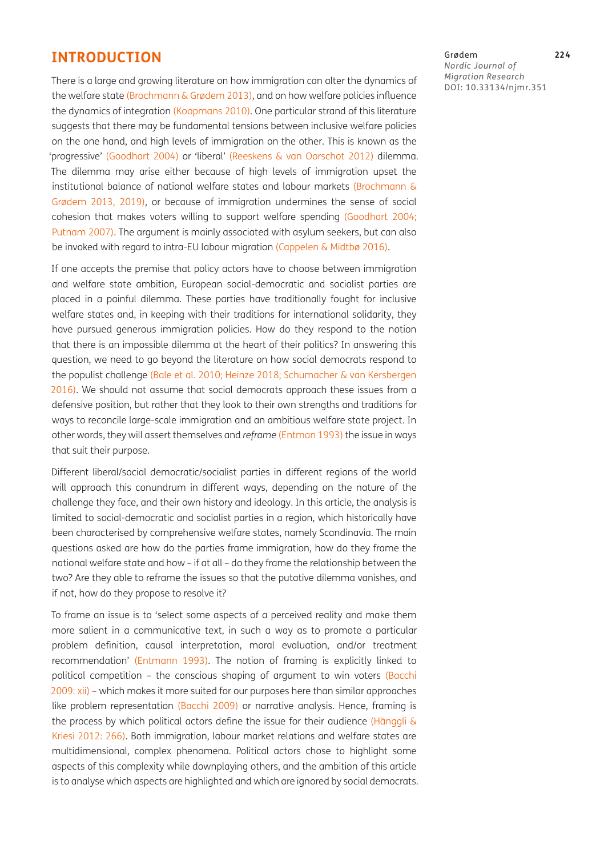## **INTRODUCTION**

There is a large and growing literature on how immigration can alter the dynamics of the welfare state (Brochmann & Grødem 2013), and on how welfare policies influence the dynamics of integration ([Koopmans 2010](#page-15-0)). One particular strand of this literature suggests that there may be fundamental tensions between inclusive welfare policies on the one hand, and high levels of immigration on the other. This is known as the 'progressive' [\(Goodhart 2004](#page-15-1)) or 'liberal' [\(Reeskens & van Oorschot 2012\)](#page-16-0) dilemma. The dilemma may arise either because of high levels of immigration upset the institutional balance of national welfare states and labour markets (Brochmann & Grødem 2013, 2019), or because of immigration undermines the sense of social cohesion that makes voters willing to support welfare spending [\(Goodhart 2004;](#page-15-1) [Putnam 2007\)](#page-16-1). The argument is mainly associated with asylum seekers, but can also be invoked with regard to intra-EU labour migration (Cappelen & Midtbø 2016).

If one accepts the premise that policy actors have to choose between immigration and welfare state ambition, European social-democratic and socialist parties are placed in a painful dilemma. These parties have traditionally fought for inclusive welfare states and, in keeping with their traditions for international solidarity, they have pursued generous immigration policies. How do they respond to the notion that there is an impossible dilemma at the heart of their politics? In answering this question, we need to go beyond the literature on how social democrats respond to the populist challenge ([Bale et al. 2010](#page-14-0); [Heinze 2](#page-15-2)018; [Schumacher & van Kersbergen](#page-16-2)  [2016](#page-16-2)). We should not assume that social democrats approach these issues from a defensive position, but rather that they look to their own strengths and traditions for ways to reconcile large-scale immigration and an ambitious welfare state project. In other words, they will assert themselves and *reframe* [\(Entman 1993](#page-15-3)) the issue in ways that suit their purpose.

Different liberal/social democratic/socialist parties in different regions of the world will approach this conundrum in different ways, depending on the nature of the challenge they face, and their own history and ideology. In this article, the analysis is limited to social-democratic and socialist parties in a region, which historically have been characterised by comprehensive welfare states, namely Scandinavia. The main questions asked are how do the parties frame immigration, how do they frame the national welfare state and how – if at all – do they frame the relationship between the two? Are they able to reframe the issues so that the putative dilemma vanishes, and if not, how do they propose to resolve it?

To frame an issue is to 'select some aspects of a perceived reality and make them more salient in a communicative text, in such a way as to promote a particular problem definition, causal interpretation, moral evaluation, and/or treatment recommendation' ([Entmann 1993\)](#page-15-3). The notion of framing is explicitly linked to political competition – the conscious shaping of argument to win voters ([Bacchi](#page-14-1)  [2009](#page-14-1): xii) – which makes it more suited for our purposes here than similar approaches like problem representation ([Bacchi 2009\)](#page-14-1) or narrative analysis. Hence, framing is the process by which political actors define the issue for their audience (Hänggli & Kriesi 2012: 266). Both immigration, labour market relations and welfare states are multidimensional, complex phenomena. Political actors chose to highlight some aspects of this complexity while downplaying others, and the ambition of this article is to analyse which aspects are highlighted and which are ignored by social democrats. Grødem **224** *Nordic Journal of Migration Research* DOI: [10.33134/njmr.351](https://doi.org/10.33134/njmr.351)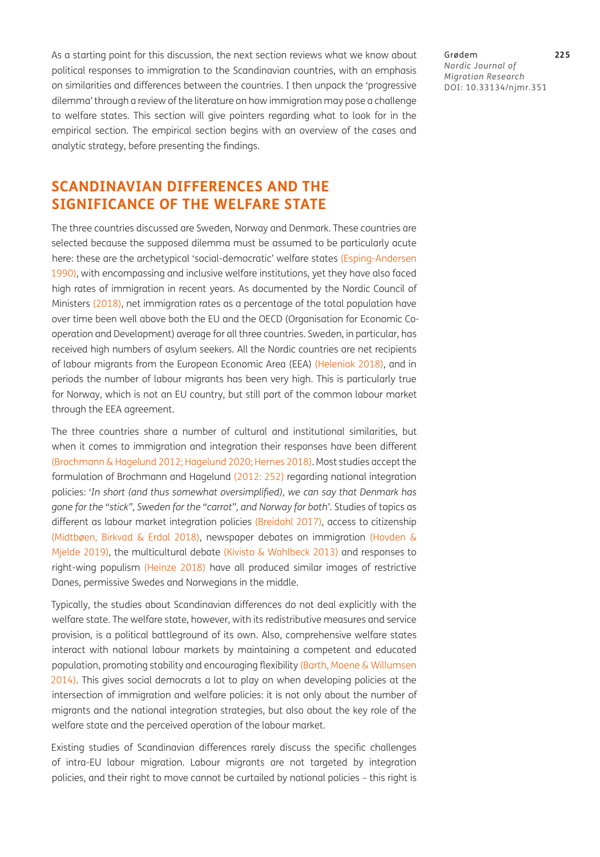As a starting point for this discussion, the next section reviews what we know about political responses to immigration to the Scandinavian countries, with an emphasis on similarities and differences between the countries. I then unpack the 'progressive dilemma' through a review of the literature on how immigration may pose a challenge to welfare states. This section will give pointers regarding what to look for in the empirical section. The empirical section begins with an overview of the cases and analytic strategy, before presenting the findings.

# **SCANDINAVIAN DIFFERENCES AND THE SIGNIFICANCE OF THE WELFARE STATE**

The three countries discussed are Sweden, Norway and Denmark. These countries are selected because the supposed dilemma must be assumed to be particularly acute here: these are the archetypical 'social-democratic' welfare states ([Esping-Andersen](#page-15-4)  [1990\)](#page-15-4), with encompassing and inclusive welfare institutions, yet they have also faced high rates of immigration in recent years. As documented by the Nordic Council of Ministers [\(2018\)](#page-16-3), net immigration rates as a percentage of the total population have over time been well above both the EU and the OECD (Organisation for Economic Cooperation and Development) average for all three countries. Sweden, in particular, has received high numbers of asylum seekers. All the Nordic countries are net recipients of labour migrants from the European Economic Area (EEA) [\(Heleniak 2018\)](#page-15-5), and in periods the number of labour migrants has been very high. This is particularly true for Norway, which is not an EU country, but still part of the common labour market through the EEA agreement.

The three countries share a number of cultural and institutional similarities, but when it comes to immigration and integration their responses have been different [\(Brochmann & Hagelund 2012;](#page-15-6) [Hagelund 2020](#page-15-7); [Hernes 2018\)](#page-15-2). Most studies accept the formulation of Brochmann and Hagelund [\(2012:](#page-15-6) 252) regarding national integration policies: '*In short (and thus somewhat oversimplified), we can say that Denmark has gone for the "stick", Sweden for the "carrot", and Norway for both'*. Studies of topics as different as labour market integration policies ([Breidahl 2017\)](#page-14-2), access to citizenship (Midtbøen, Birkvad & Erdal 2018), newspaper debates on immigration ([Hovden &](#page-15-8)  [Mjelde 2019](#page-15-8)), the multicultural debate (Kivisto & Wahlbeck 2013) and responses to right-wing populism ([Heinze 2018\)](#page-15-9) have all produced similar images of restrictive Danes, permissive Swedes and Norwegians in the middle.

Typically, the studies about Scandinavian differences do not deal explicitly with the welfare state. The welfare state, however, with its redistributive measures and service provision, is a political battleground of its own. Also, comprehensive welfare states interact with national labour markets by maintaining a competent and educated population, promoting stability and encouraging flexibility ([Barth, Moene & Willumsen](#page-14-3)  [2014](#page-14-3)). This gives social democrats a lot to play on when developing policies at the intersection of immigration and welfare policies: it is not only about the number of migrants and the national integration strategies, but also about the key role of the welfare state and the perceived operation of the labour market.

Existing studies of Scandinavian differences rarely discuss the specific challenges of intra-EU labour migration. Labour migrants are not targeted by integration policies, and their right to move cannot be curtailed by national policies – this right is

Grødem **225** *Nordic Journal of Migration Research* DOI: [10.33134/njmr.351](https://doi.org/10.33134/njmr.351)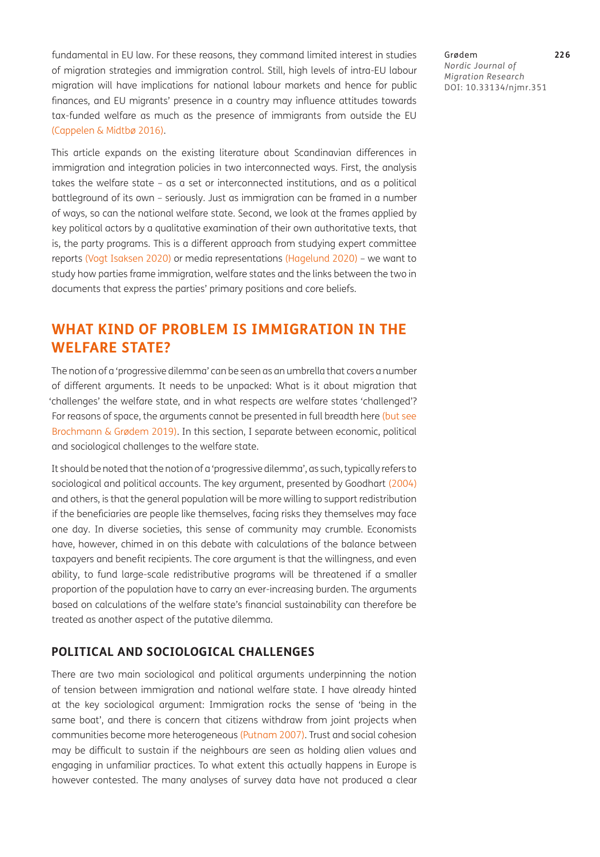fundamental in EU law. For these reasons, they command limited interest in studies of migration strategies and immigration control. Still, high levels of intra-EU labour migration will have implications for national labour markets and hence for public finances, and EU migrants' presence in a country may influence attitudes towards tax-funded welfare as much as the presence of immigrants from outside the EU (Cappelen & Midtbø 2016).

This article expands on the existing literature about Scandinavian differences in immigration and integration policies in two interconnected ways. First, the analysis takes the welfare state – as a set or interconnected institutions, and as a political battleground of its own – seriously. Just as immigration can be framed in a number of ways, so can the national welfare state. Second, we look at the frames applied by key political actors by a qualitative examination of their own authoritative texts, that is, the party programs. This is a different approach from studying expert committee reports ([Vogt Isaksen 2020](#page-16-4)) or media representations ([Hagelund 2020](#page-15-7)) – we want to study how parties frame immigration, welfare states and the links between the two in documents that express the parties' primary positions and core beliefs.

# **WHAT KIND OF PROBLEM IS IMMIGRATION IN THE WELFARE STATE?**

The notion of a 'progressive dilemma' can be seen as an umbrella that covers a number of different arguments. It needs to be unpacked: What is it about migration that 'challenges' the welfare state, and in what respects are welfare states 'challenged'? For reasons of space, the arguments cannot be presented in full breadth here (but see Brochmann & Grødem 2019). In this section, I separate between economic, political and sociological challenges to the welfare state.

It should be noted that the notion of a 'progressive dilemma', as such, typically refers to sociological and political accounts. The key argument, presented by Goodhart [\(2004](#page-15-1)) and others, is that the general population will be more willing to support redistribution if the beneficiaries are people like themselves, facing risks they themselves may face one day. In diverse societies, this sense of community may crumble. Economists have, however, chimed in on this debate with calculations of the balance between taxpayers and benefit recipients. The core argument is that the willingness, and even ability, to fund large-scale redistributive programs will be threatened if a smaller proportion of the population have to carry an ever-increasing burden. The arguments based on calculations of the welfare state's financial sustainability can therefore be treated as another aspect of the putative dilemma.

## **POLITICAL AND SOCIOLOGICAL CHALLENGES**

There are two main sociological and political arguments underpinning the notion of tension between immigration and national welfare state. I have already hinted at the key sociological argument: Immigration rocks the sense of 'being in the same boat', and there is concern that citizens withdraw from joint projects when communities become more heterogeneous [\(Putnam 2007\)](#page-16-1). Trust and social cohesion may be difficult to sustain if the neighbours are seen as holding alien values and engaging in unfamiliar practices. To what extent this actually happens in Europe is however contested. The many analyses of survey data have not produced a clear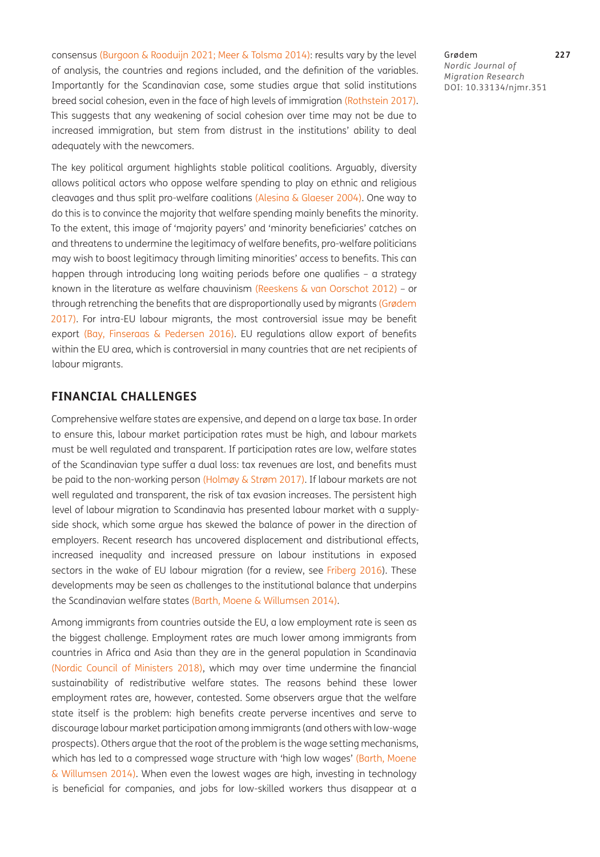consensus [\(Burgoon & Rooduijn 2021;](#page-15-10) [Meer & Tolsma 2014](#page-15-11)): results vary by the level of analysis, the countries and regions included, and the definition of the variables. Importantly for the Scandinavian case, some studies argue that solid institutions breed social cohesion, even in the face of high levels of immigration ([Rothstein 2017\)](#page-16-5). This suggests that any weakening of social cohesion over time may not be due to increased immigration, but stem from distrust in the institutions' ability to deal adequately with the newcomers.

The key political argument highlights stable political coalitions. Arguably, diversity allows political actors who oppose welfare spending to play on ethnic and religious cleavages and thus split pro-welfare coalitions ([Alesina & Glaeser 2004\)](#page-14-4). One way to do this is to convince the majority that welfare spending mainly benefits the minority. To the extent, this image of 'majority payers' and 'minority beneficiaries' catches on and threatens to undermine the legitimacy of welfare benefits, pro-welfare politicians may wish to boost legitimacy through limiting minorities' access to benefits. This can happen through introducing long waiting periods before one qualifies – a strategy known in the literature as welfare chauvinism ([Reeskens & van Oorschot 2012](#page-16-0)) – or through retrenching the benefits that are disproportionally used by migrants (Grødem 2017). For intra-EU labour migrants, the most controversial issue may be benefit export ([Bay, Finseraas & Pedersen 2016](#page-14-5)). EU regulations allow export of benefits within the EU area, which is controversial in many countries that are net recipients of labour migrants.

## **FINANCIAL CHALLENGES**

Comprehensive welfare states are expensive, and depend on a large tax base. In order to ensure this, labour market participation rates must be high, and labour markets must be well regulated and transparent. If participation rates are low, welfare states of the Scandinavian type suffer a dual loss: tax revenues are lost, and benefits must be paid to the non-working person (Holmøy & Strøm 2017). If labour markets are not well regulated and transparent, the risk of tax evasion increases. The persistent high level of labour migration to Scandinavia has presented labour market with a supplyside shock, which some argue has skewed the balance of power in the direction of employers. Recent research has uncovered displacement and distributional effects, increased inequality and increased pressure on labour institutions in exposed sectors in the wake of EU labour migration (for a review, see [Friberg 2016](#page-15-12)). These developments may be seen as challenges to the institutional balance that underpins the Scandinavian welfare states [\(Barth, Moene & Willumsen 2014](#page-14-3)).

Among immigrants from countries outside the EU, a low employment rate is seen as the biggest challenge. Employment rates are much lower among immigrants from countries in Africa and Asia than they are in the general population in Scandinavia [\(Nordic Council of Ministers 2018](#page-16-3)), which may over time undermine the financial sustainability of redistributive welfare states. The reasons behind these lower employment rates are, however, contested. Some observers argue that the welfare state itself is the problem: high benefits create perverse incentives and serve to discourage labour market participation among immigrants (and others with low-wage prospects). Others argue that the root of the problem is the wage setting mechanisms, which has led to a compressed wage structure with 'high low wages' (Barth, Moene [& Willumsen 2014\)](#page-14-3). When even the lowest wages are high, investing in technology is beneficial for companies, and jobs for low-skilled workers thus disappear at a

Grødem **227** *Nordic Journal of Migration Research* DOI: [10.33134/njmr.351](https://doi.org/10.33134/njmr.351)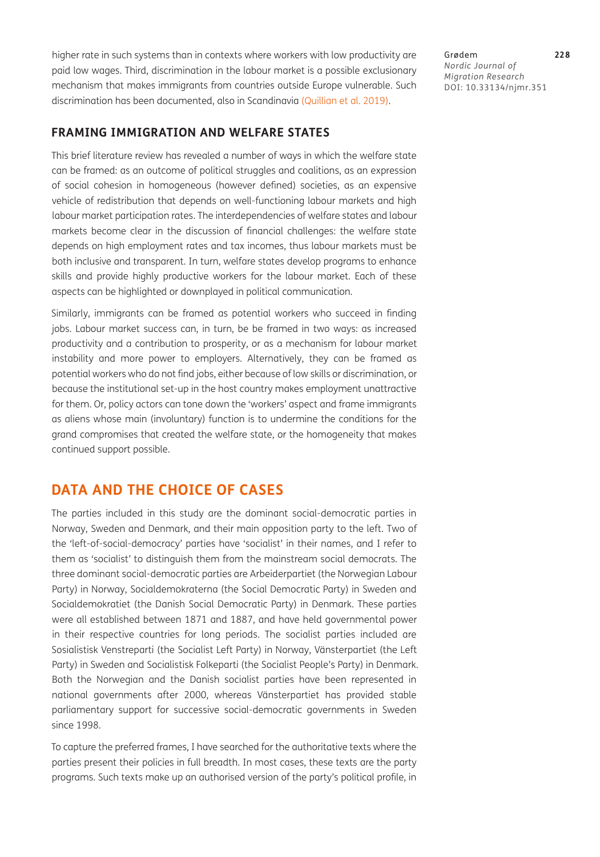higher rate in such systems than in contexts where workers with low productivity are paid low wages. Third, discrimination in the labour market is a possible exclusionary mechanism that makes immigrants from countries outside Europe vulnerable. Such discrimination has been documented, also in Scandinavia (Quillian et al. 2019).

## **FRAMING IMMIGRATION AND WELFARE STATES**

This brief literature review has revealed a number of ways in which the welfare state can be framed: as an outcome of political struggles and coalitions, as an expression of social cohesion in homogeneous (however defined) societies, as an expensive vehicle of redistribution that depends on well-functioning labour markets and high labour market participation rates. The interdependencies of welfare states and labour markets become clear in the discussion of financial challenges: the welfare state depends on high employment rates and tax incomes, thus labour markets must be both inclusive and transparent. In turn, welfare states develop programs to enhance skills and provide highly productive workers for the labour market. Each of these aspects can be highlighted or downplayed in political communication.

Similarly, immigrants can be framed as potential workers who succeed in finding jobs. Labour market success can, in turn, be be framed in two ways: as increased productivity and a contribution to prosperity, or as a mechanism for labour market instability and more power to employers. Alternatively, they can be framed as potential workers who do not find jobs, either because of low skills or discrimination, or because the institutional set-up in the host country makes employment unattractive for them. Or, policy actors can tone down the 'workers' aspect and frame immigrants as aliens whose main (involuntary) function is to undermine the conditions for the grand compromises that created the welfare state, or the homogeneity that makes continued support possible.

## **DATA AND THE CHOICE OF CASES**

The parties included in this study are the dominant social-democratic parties in Norway, Sweden and Denmark, and their main opposition party to the left. Two of the 'left-of-social-democracy' parties have 'socialist' in their names, and I refer to them as 'socialist' to distinguish them from the mainstream social democrats. The three dominant social-democratic parties are Arbeiderpartiet (the Norwegian Labour Party) in Norway, Socialdemokraterna (the Social Democratic Party) in Sweden and Socialdemokratiet (the Danish Social Democratic Party) in Denmark. These parties were all established between 1871 and 1887, and have held governmental power in their respective countries for long periods. The socialist parties included are Sosialistisk Venstreparti (the Socialist Left Party) in Norway, Vänsterpartiet (the Left Party) in Sweden and Socialistisk Folkeparti (the Socialist People's Party) in Denmark. Both the Norwegian and the Danish socialist parties have been represented in national governments after 2000, whereas Vänsterpartiet has provided stable parliamentary support for successive social-democratic governments in Sweden since 1998.

To capture the preferred frames, I have searched for the authoritative texts where the parties present their policies in full breadth. In most cases, these texts are the party programs. Such texts make up an authorised version of the party's political profile, in

Grødem **228** *Nordic Journal of Migration Research* DOI: [10.33134/njmr.351](https://doi.org/10.33134/njmr.351)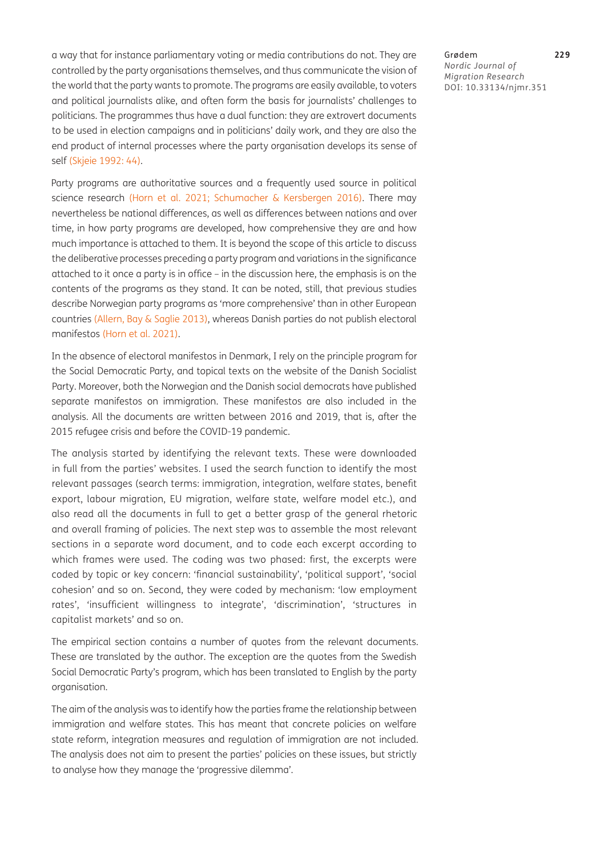a way that for instance parliamentary voting or media contributions do not. They are controlled by the party organisations themselves, and thus communicate the vision of the world that the party wants to promote. The programs are easily available, to voters and political journalists alike, and often form the basis for journalists' challenges to politicians. The programmes thus have a dual function: they are extrovert documents to be used in election campaigns and in politicians' daily work, and they are also the end product of internal processes where the party organisation develops its sense of self ([Skjeie 1992:](#page-16-6) 44).

Party programs are authoritative sources and a frequently used source in political science research [\(Horn et al. 2021;](#page-15-13) [Schumacher & Kersbergen 2016](#page-16-2)). There may nevertheless be national differences, as well as differences between nations and over time, in how party programs are developed, how comprehensive they are and how much importance is attached to them. It is beyond the scope of this article to discuss the deliberative processes preceding a party program and variations in the significance attached to it once a party is in office – in the discussion here, the emphasis is on the contents of the programs as they stand. It can be noted, still, that previous studies describe Norwegian party programs as 'more comprehensive' than in other European countries [\(Allern, Bay & Saglie 2013](#page-14-6)), whereas Danish parties do not publish electoral manifestos [\(Horn et al. 2021\)](#page-15-13).

In the absence of electoral manifestos in Denmark, I rely on the principle program for the Social Democratic Party, and topical texts on the website of the Danish Socialist Party. Moreover, both the Norwegian and the Danish social democrats have published separate manifestos on immigration. These manifestos are also included in the analysis. All the documents are written between 2016 and 2019, that is, after the 2015 refugee crisis and before the COVID-19 pandemic.

The analysis started by identifying the relevant texts. These were downloaded in full from the parties' websites. I used the search function to identify the most relevant passages (search terms: immigration, integration, welfare states, benefit export, labour migration, EU migration, welfare state, welfare model etc.), and also read all the documents in full to get a better grasp of the general rhetoric and overall framing of policies. The next step was to assemble the most relevant sections in a separate word document, and to code each excerpt according to which frames were used. The coding was two phased: first, the excerpts were coded by topic or key concern: 'financial sustainability', 'political support', 'social cohesion' and so on. Second, they were coded by mechanism: 'low employment rates', 'insufficient willingness to integrate', 'discrimination', 'structures in capitalist markets' and so on.

The empirical section contains a number of quotes from the relevant documents. These are translated by the author. The exception are the quotes from the Swedish Social Democratic Party's program, which has been translated to English by the party organisation.

The aim of the analysis was to identify how the parties frame the relationship between immigration and welfare states. This has meant that concrete policies on welfare state reform, integration measures and regulation of immigration are not included. The analysis does not aim to present the parties' policies on these issues, but strictly to analyse how they manage the 'progressive dilemma'.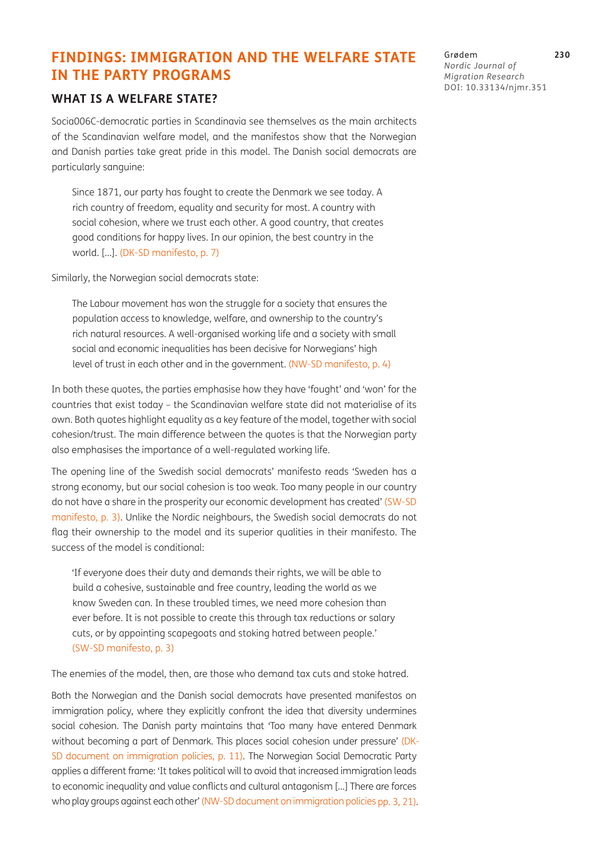# **FINDINGS: IMMIGRATION AND THE WELFARE STATE IN THE PARTY PROGRAMS**

## **WHAT IS A WELFARE STATE?**

Socia006C-democratic parties in Scandinavia see themselves as the main architects of the Scandinavian welfare model, and the manifestos show that the Norwegian and Danish parties take great pride in this model. The Danish social democrats are particularly sanguine:

Since 1871, our party has fought to create the Denmark we see today. A rich country of freedom, equality and security for most. A country with social cohesion, where we trust each other. A good country, that creates good conditions for happy lives. In our opinion, the best country in the world. […]. ([DK-SD manifesto,](#page-16-7) p. 7)

Similarly, the Norwegian social democrats state:

The Labour movement has won the struggle for a society that ensures the population access to knowledge, welfare, and ownership to the country's rich natural resources. A well-organised working life and a society with small social and economic inequalities has been decisive for Norwegians' high level of trust in each other and in the government. [\(NW-SD manifesto](#page-16-8), p. 4)

In both these quotes, the parties emphasise how they have 'fought' and 'won' for the countries that exist today – the Scandinavian welfare state did not materialise of its own. Both quotes highlight equality as a key feature of the model, together with social cohesion/trust. The main difference between the quotes is that the Norwegian party also emphasises the importance of a well-regulated working life.

The opening line of the Swedish social democrats' manifesto reads 'Sweden has a strong economy, but our social cohesion is too weak. Too many people in our country do not have a share in the prosperity our economic development has created' ([SW-SD](#page-16-9)  [manifesto](#page-16-9), p. 3). Unlike the Nordic neighbours, the Swedish social democrats do not flag their ownership to the model and its superior qualities in their manifesto. The success of the model is conditional:

'If everyone does their duty and demands their rights, we will be able to build a cohesive, sustainable and free country, leading the world as we know Sweden can. In these troubled times, we need more cohesion than ever before. It is not possible to create this through tax reductions or salary cuts, or by appointing scapegoats and stoking hatred between people.' [\(SW-SD manifesto,](#page-16-9) p. 3)

The enemies of the model, then, are those who demand tax cuts and stoke hatred.

Both the Norwegian and the Danish social democrats have presented manifestos on immigration policy, where they explicitly confront the idea that diversity undermines social cohesion. The Danish party maintains that 'Too many have entered Denmark without becoming a part of Denmark. This places social cohesion under pressure' ([DK-](#page-16-10)[SD document on immigration policies,](#page-16-10) p. 11). The Norwegian Social Democratic Party applies a different frame: 'It takes political will to avoid that increased immigration leads to economic inequality and value conflicts and cultural antagonism […] There are forces who play groups against each other' [\(NW-SD document on immigration policies pp.](#page-16-11) 3, 21).

Grødem **230** *Nordic Journal of Migration Research* DOI: [10.33134/njmr.351](https://doi.org/10.33134/njmr.351)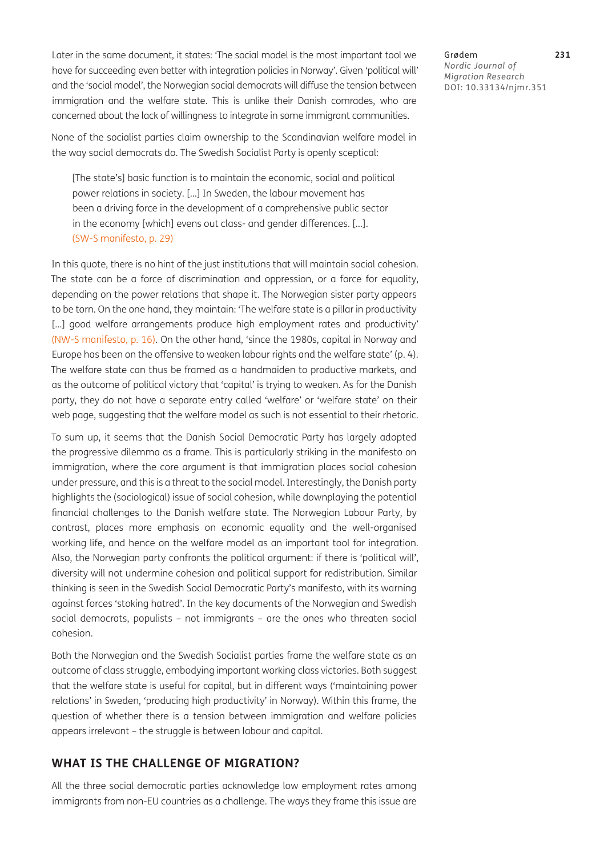Later in the same document, it states: 'The social model is the most important tool we have for succeeding even better with integration policies in Norway'. Given 'political will' and the 'social model', the Norwegian social democrats will diffuse the tension between immigration and the welfare state. This is unlike their Danish comrades, who are concerned about the lack of willingness to integrate in some immigrant communities.

None of the socialist parties claim ownership to the Scandinavian welfare model in the way social democrats do. The Swedish Socialist Party is openly sceptical:

[The state's] basic function is to maintain the economic, social and political power relations in society. […] In Sweden, the labour movement has been a driving force in the development of a comprehensive public sector in the economy [which] evens out class- and gender differences. […]. [\(SW-S manifesto](#page-16-12), p. 29)

In this quote, there is no hint of the just institutions that will maintain social cohesion. The state can be a force of discrimination and oppression, or a force for equality, depending on the power relations that shape it. The Norwegian sister party appears to be torn. On the one hand, they maintain: 'The welfare state is a pillar in productivity [...] good welfare arrangements produce high employment rates and productivity' [\(NW-S manifesto,](#page-16-12) p. 16). On the other hand, 'since the 1980s, capital in Norway and Europe has been on the offensive to weaken labour rights and the welfare state' (p. 4). The welfare state can thus be framed as a handmaiden to productive markets, and as the outcome of political victory that 'capital' is trying to weaken. As for the Danish party, they do not have a separate entry called 'welfare' or 'welfare state' on their web page, suggesting that the welfare model as such is not essential to their rhetoric.

To sum up, it seems that the Danish Social Democratic Party has largely adopted the progressive dilemma as a frame. This is particularly striking in the manifesto on immigration, where the core argument is that immigration places social cohesion under pressure, and this is a threat to the social model. Interestingly, the Danish party highlights the (sociological) issue of social cohesion, while downplaying the potential financial challenges to the Danish welfare state. The Norwegian Labour Party, by contrast, places more emphasis on economic equality and the well-organised working life, and hence on the welfare model as an important tool for integration. Also, the Norwegian party confronts the political argument: if there is 'political will', diversity will not undermine cohesion and political support for redistribution. Similar thinking is seen in the Swedish Social Democratic Party's manifesto, with its warning against forces 'stoking hatred'. In the key documents of the Norwegian and Swedish social democrats, populists – not immigrants – are the ones who threaten social cohesion.

Both the Norwegian and the Swedish Socialist parties frame the welfare state as an outcome of class struggle, embodying important working class victories. Both suggest that the welfare state is useful for capital, but in different ways ('maintaining power relations' in Sweden, 'producing high productivity' in Norway). Within this frame, the question of whether there is a tension between immigration and welfare policies appears irrelevant – the struggle is between labour and capital.

### **WHAT IS THE CHALLENGE OF MIGRATION?**

All the three social democratic parties acknowledge low employment rates among immigrants from non-EU countries as a challenge. The ways they frame this issue are

Grødem **231** *Nordic Journal of Migration Research* DOI: [10.33134/njmr.351](https://doi.org/10.33134/njmr.351)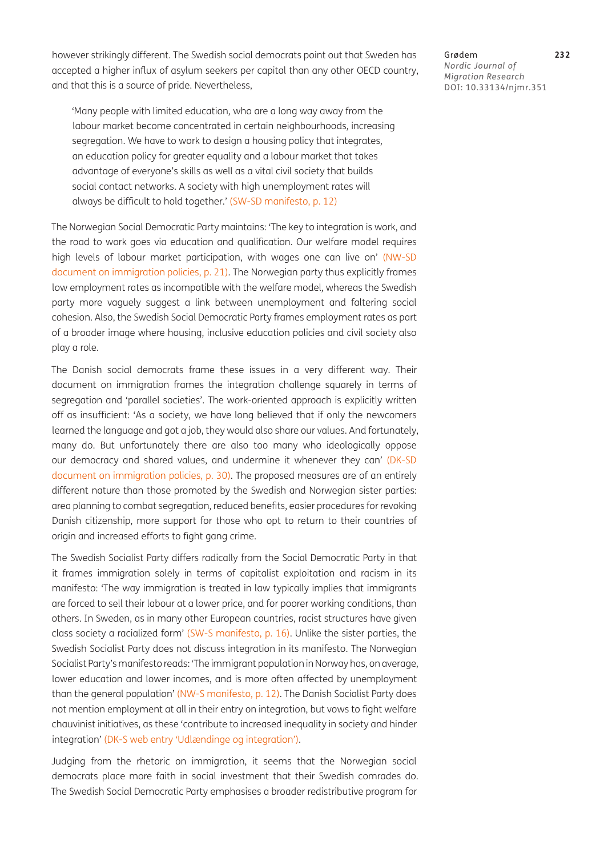however strikingly different. The Swedish social democrats point out that Sweden has accepted a higher influx of asylum seekers per capital than any other OECD country, and that this is a source of pride. Nevertheless,

'Many people with limited education, who are a long way away from the labour market become concentrated in certain neighbourhoods, increasing segregation. We have to work to design a housing policy that integrates, an education policy for greater equality and a labour market that takes advantage of everyone's skills as well as a vital civil society that builds social contact networks. A society with high unemployment rates will always be difficult to hold together.' ([SW-SD manifesto,](#page-16-9) p. 12)

The Norwegian Social Democratic Party maintains: 'The key to integration is work, and the road to work goes via education and qualification. Our welfare model requires high levels of labour market participation, with wages one can live on' [\(NW-SD](#page-16-3)  [document on immigration policies,](#page-16-3) p. 21). The Norwegian party thus explicitly frames low employment rates as incompatible with the welfare model, whereas the Swedish party more vaguely suggest a link between unemployment and faltering social cohesion. Also, the Swedish Social Democratic Party frames employment rates as part of a broader image where housing, inclusive education policies and civil society also play a role.

The Danish social democrats frame these issues in a very different way. Their document on immigration frames the integration challenge squarely in terms of segregation and 'parallel societies'. The work-oriented approach is explicitly written off as insufficient: 'As a society, we have long believed that if only the newcomers learned the language and got a job, they would also share our values. And fortunately, many do. But unfortunately there are also too many who ideologically oppose our democracy and shared values, and undermine it whenever they can' (DK-SD) [document on immigration policies](#page-16-10), p. 30). The proposed measures are of an entirely different nature than those promoted by the Swedish and Norwegian sister parties: area planning to combat segregation, reduced benefits, easier procedures for revoking Danish citizenship, more support for those who opt to return to their countries of origin and increased efforts to fight gang crime.

The Swedish Socialist Party differs radically from the Social Democratic Party in that it frames immigration solely in terms of capitalist exploitation and racism in its manifesto: 'The way immigration is treated in law typically implies that immigrants are forced to sell their labour at a lower price, and for poorer working conditions, than others. In Sweden, as in many other European countries, racist structures have given class society a racialized form' [\(SW-S manifesto,](#page-16-13) p. 16). Unlike the sister parties, the Swedish Socialist Party does not discuss integration in its manifesto. The Norwegian Socialist Party's manifesto reads: 'The immigrant population in Norway has, on average, lower education and lower incomes, and is more often affected by unemployment than the general population' [\(NW-S manifesto](#page-16-8), p. 12). The Danish Socialist Party does not mention employment at all in their entry on integration, but vows to fight welfare chauvinist initiatives, as these 'contribute to increased inequality in society and hinder integration' ([DK-S web entry 'Udlændinge og integration'](#page-16-7)).

Judging from the rhetoric on immigration, it seems that the Norwegian social democrats place more faith in social investment that their Swedish comrades do. The Swedish Social Democratic Party emphasises a broader redistributive program for

Grødem **232** *Nordic Journal of Migration Research* DOI: [10.33134/njmr.351](https://doi.org/10.33134/njmr.351)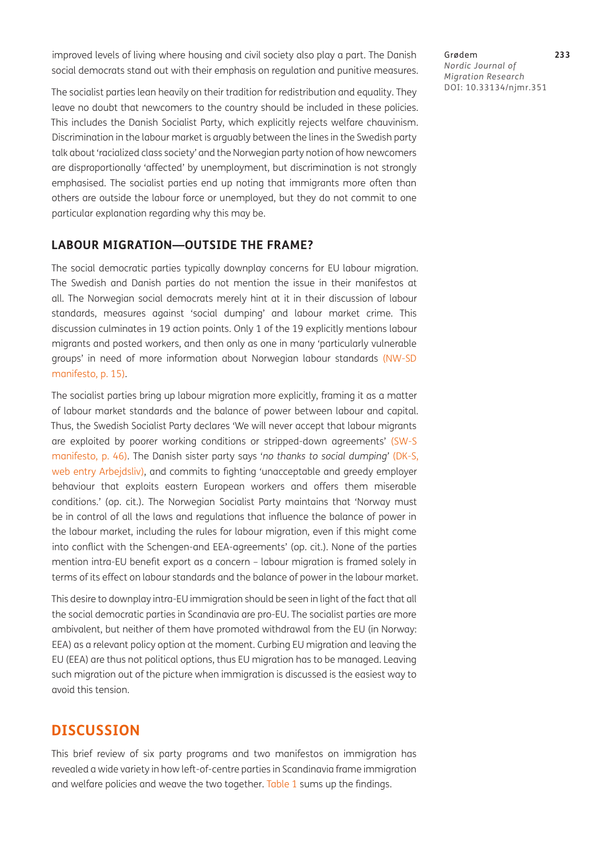improved levels of living where housing and civil society also play a part. The Danish social democrats stand out with their emphasis on regulation and punitive measures.

The socialist parties lean heavily on their tradition for redistribution and equality. They leave no doubt that newcomers to the country should be included in these policies. This includes the Danish Socialist Party, which explicitly rejects welfare chauvinism. Discrimination in the labour market is arguably between the lines in the Swedish party talk about 'racialized class society' and the Norwegian party notion of how newcomers are disproportionally 'affected' by unemployment, but discrimination is not strongly emphasised. The socialist parties end up noting that immigrants more often than others are outside the labour force or unemployed, but they do not commit to one particular explanation regarding why this may be.

### **LABOUR MIGRATION—OUTSIDE THE FRAME?**

The social democratic parties typically downplay concerns for EU labour migration. The Swedish and Danish parties do not mention the issue in their manifestos at all. The Norwegian social democrats merely hint at it in their discussion of labour standards, measures against 'social dumping' and labour market crime. This discussion culminates in 19 action points. Only 1 of the 19 explicitly mentions labour migrants and posted workers, and then only as one in many 'particularly vulnerable groups' in need of more information about Norwegian labour standards [\(NW-SD](#page-16-12)  [manifesto](#page-16-12), p. 15).

The socialist parties bring up labour migration more explicitly, framing it as a matter of labour market standards and the balance of power between labour and capital. Thus, the Swedish Socialist Party declares 'We will never accept that labour migrants are exploited by poorer working conditions or stripped-down agreements' [\(SW-S](#page-16-13)  [manifesto](#page-16-13), p. 46). The Danish sister party says '*no thanks to social dumping'* ([DK-S,](#page-16-7) [web entry Arbejdsliv\)](#page-16-7), and commits to fighting 'unacceptable and greedy employer behaviour that exploits eastern European workers and offers them miserable conditions.' (op. cit.). The Norwegian Socialist Party maintains that 'Norway must be in control of all the laws and regulations that influence the balance of power in the labour market, including the rules for labour migration, even if this might come into conflict with the Schengen-and EEA-agreements' (op. cit.). None of the parties mention intra-EU benefit export as a concern – labour migration is framed solely in terms of its effect on labour standards and the balance of power in the labour market.

This desire to downplay intra-EU immigration should be seen in light of the fact that all the social democratic parties in Scandinavia are pro-EU. The socialist parties are more ambivalent, but neither of them have promoted withdrawal from the EU (in Norway: EEA) as a relevant policy option at the moment. Curbing EU migration and leaving the EU (EEA) are thus not political options, thus EU migration has to be managed. Leaving such migration out of the picture when immigration is discussed is the easiest way to avoid this tension.

## **DISCUSSION**

This brief review of six party programs and two manifestos on immigration has revealed a wide variety in how left-of-centre parties in Scandinavia frame immigration and welfare policies and weave the two together. [Table 1](#page-11-0) sums up the findings.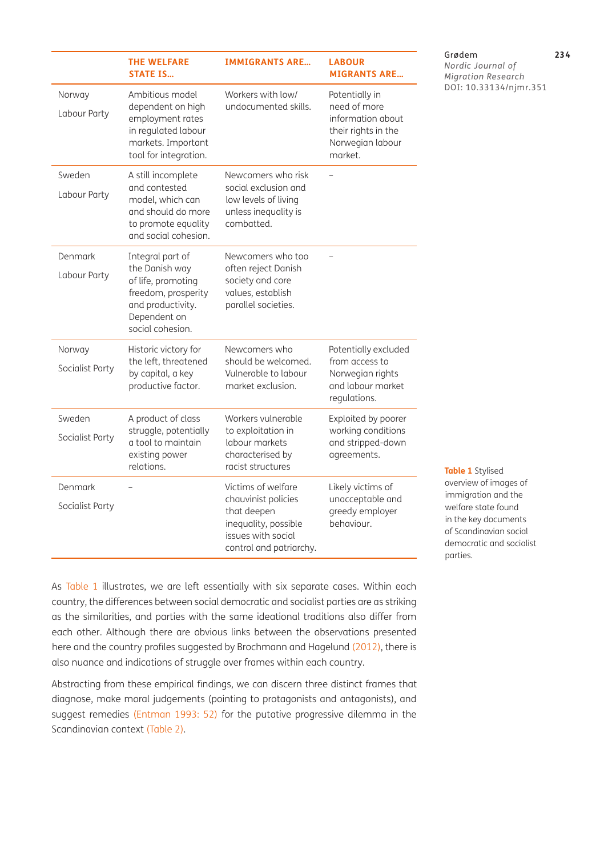|                            | <b>THE WELFARE</b><br><b>STATE IS</b>                                                                                                    | <b>IMMIGRANTS ARE</b>                                                                                                             | <b>LABOUR</b><br><b>MIGRANTS ARE</b>                                                                      |
|----------------------------|------------------------------------------------------------------------------------------------------------------------------------------|-----------------------------------------------------------------------------------------------------------------------------------|-----------------------------------------------------------------------------------------------------------|
| Norway<br>Labour Party     | Ambitious model<br>dependent on high<br>employment rates<br>in regulated labour<br>markets. Important<br>tool for integration.           | Workers with low/<br>undocumented skills.                                                                                         | Potentially in<br>need of more<br>information about<br>their rights in the<br>Norwegian labour<br>market. |
| Sweden<br>Labour Party     | A still incomplete<br>and contested<br>model, which can<br>and should do more<br>to promote equality<br>and social cohesion.             | Newcomers who risk<br>social exclusion and<br>low levels of living<br>unless inequality is<br>combatted.                          |                                                                                                           |
| Denmark<br>Labour Party    | Integral part of<br>the Danish way<br>of life, promoting<br>freedom, prosperity<br>and productivity.<br>Dependent on<br>social cohesion. | Newcomers who too<br>often reject Danish<br>society and core<br>values, establish<br>parallel societies.                          |                                                                                                           |
| Norway<br>Socialist Party  | Historic victory for<br>the left, threatened<br>by capital, a key<br>productive factor.                                                  | Newcomers who<br>should be welcomed.<br>Vulnerable to labour<br>market exclusion.                                                 | Potentially excluded<br>from access to<br>Norwegian rights<br>and labour market<br>regulations.           |
| Sweden<br>Socialist Party  | A product of class<br>struggle, potentially<br>a tool to maintain<br>existing power<br>relations.                                        | Workers vulnerable<br>to exploitation in<br>labour markets<br>characterised by<br>racist structures                               | Exploited by poorer<br>working conditions<br>and stripped-down<br>agreements.                             |
| Denmark<br>Socialist Party |                                                                                                                                          | Victims of welfare<br>chauvinist policies<br>that deepen<br>inequality, possible<br>issues with social<br>control and patriarchy. | Likely victims of<br>unacceptable and<br>greedy employer<br>behaviour.                                    |

#### Grødem **234**

*Nordic Journal of Migration Research* DOI: [10.33134/njmr.351](https://doi.org/10.33134/njmr.351)

As [Table 1](#page-11-0) illustrates, we are left essentially with six separate cases. Within each country, the differences between social democratic and socialist parties are as striking as the similarities, and parties with the same ideational traditions also differ from each other. Although there are obvious links between the observations presented here and the country profiles suggested by Brochmann and Hagelund [\(2012](#page-15-6)), there is also nuance and indications of struggle over frames within each country.

Abstracting from these empirical findings, we can discern three distinct frames that diagnose, make moral judgements (pointing to protagonists and antagonists), and suggest remedies ([Entman 1993:](#page-15-3) 52) for the putative progressive dilemma in the Scandinavian context ([Table 2](#page-12-0)).

<span id="page-11-0"></span>**Table 1** Stylised overview of images of immigration and the welfare state found in the key documents of Scandinavian social democratic and socialist parties.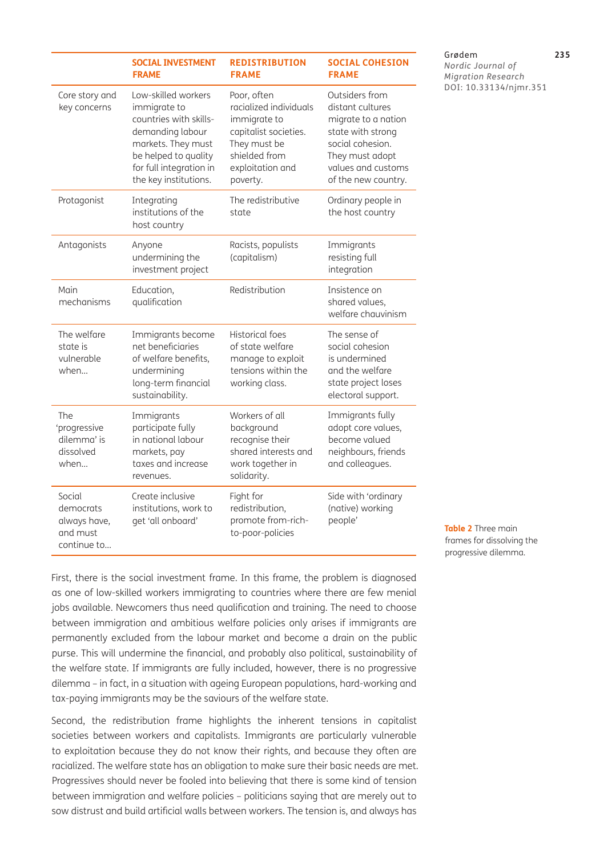|                                                                | <b>SOCIAL INVESTMENT</b><br><b>FRAME</b>                                                                                                                                            | <b>REDISTRIBUTION</b><br><b>FRAME</b>                                                                                                           | <b>SOCIAL COHESION</b><br><b>FRAME</b>                                                                                                                             |
|----------------------------------------------------------------|-------------------------------------------------------------------------------------------------------------------------------------------------------------------------------------|-------------------------------------------------------------------------------------------------------------------------------------------------|--------------------------------------------------------------------------------------------------------------------------------------------------------------------|
| Core story and<br>key concerns                                 | Low-skilled workers<br>immigrate to<br>countries with skills-<br>demanding labour<br>markets. They must<br>be helped to quality<br>for full integration in<br>the key institutions. | Poor, often<br>racialized individuals<br>immigrate to<br>capitalist societies.<br>They must be<br>shielded from<br>exploitation and<br>poverty. | Outsiders from<br>distant cultures<br>migrate to a nation<br>state with strong<br>social cohesion.<br>They must adopt<br>values and customs<br>of the new country. |
| Protagonist                                                    | Integrating<br>institutions of the<br>host country                                                                                                                                  | The redistributive<br>state                                                                                                                     | Ordinary people in<br>the host country                                                                                                                             |
| Antagonists                                                    | Anyone<br>undermining the<br>investment project                                                                                                                                     | Racists, populists<br>(capitalism)                                                                                                              | Immigrants<br>resisting full<br>integration                                                                                                                        |
| Main<br>mechanisms                                             | Education,<br>qualification                                                                                                                                                         | Redistribution                                                                                                                                  | Insistence on<br>shared values,<br>welfare chauvinism                                                                                                              |
| The welfare<br>state is<br>vulnerable<br>when                  | Immigrants become<br>net beneficiaries<br>of welfare benefits,<br>undermining<br>long-term financial<br>sustainability.                                                             | <b>Historical foes</b><br>of state welfare<br>manage to exploit<br>tensions within the<br>working class.                                        | The sense of<br>social cohesion<br>is undermined<br>and the welfare<br>state project loses<br>electoral support.                                                   |
| The<br>'progressive<br>dilemma' is<br>dissolved<br>when        | Immigrants<br>participate fully<br>in national labour<br>markets, pay<br>taxes and increase<br>revenues.                                                                            | Workers of all<br>background<br>recognise their<br>shared interests and<br>work together in<br>solidarity.                                      | Immigrants fully<br>adopt core values,<br>become valued<br>neighbours, friends<br>and colleagues.                                                                  |
| Social<br>democrats<br>always have,<br>and must<br>continue to | Create inclusive<br>institutions, work to<br>get 'all onboard'                                                                                                                      | Fight for<br>redistribution,<br>promote from-rich-<br>to-poor-policies                                                                          | Side with 'ordinary<br>(native) working<br>people'                                                                                                                 |

#### Grødem **235**

*Nordic Journal of Migration Research* DOI: [10.33134/njmr.351](https://doi.org/10.33134/njmr.351)

First, there is the social investment frame. In this frame, the problem is diagnosed as one of low-skilled workers immigrating to countries where there are few menial jobs available. Newcomers thus need qualification and training. The need to choose between immigration and ambitious welfare policies only arises if immigrants are permanently excluded from the labour market and become a drain on the public purse. This will undermine the financial, and probably also political, sustainability of the welfare state. If immigrants are fully included, however, there is no progressive dilemma – in fact, in a situation with ageing European populations, hard-working and tax-paying immigrants may be the saviours of the welfare state.

Second, the redistribution frame highlights the inherent tensions in capitalist societies between workers and capitalists. Immigrants are particularly vulnerable to exploitation because they do not know their rights, and because they often are racialized. The welfare state has an obligation to make sure their basic needs are met. Progressives should never be fooled into believing that there is some kind of tension between immigration and welfare policies – politicians saying that are merely out to sow distrust and build artificial walls between workers. The tension is, and always has

<span id="page-12-0"></span>**Table 2** Three main frames for dissolving the progressive dilemma.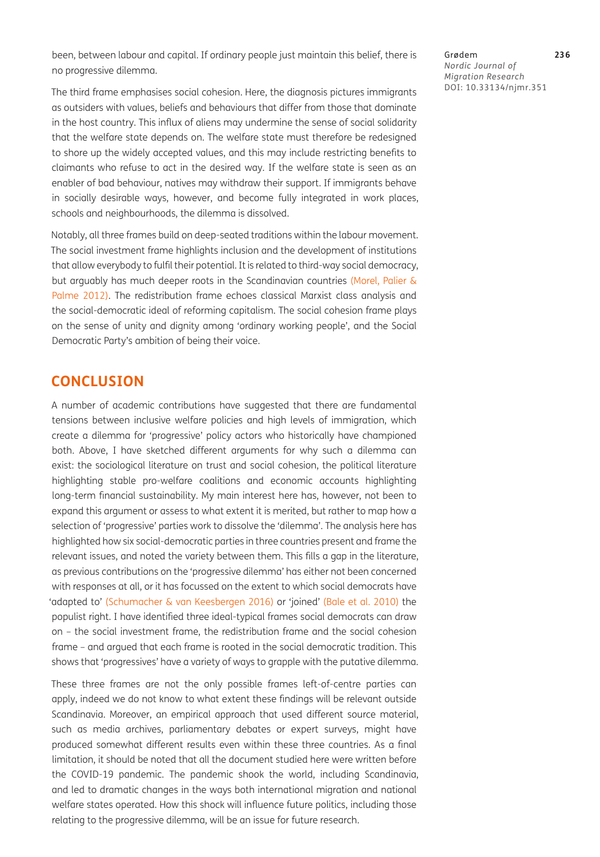been, between labour and capital. If ordinary people just maintain this belief, there is no progressive dilemma.

The third frame emphasises social cohesion. Here, the diagnosis pictures immigrants as outsiders with values, beliefs and behaviours that differ from those that dominate in the host country. This influx of aliens may undermine the sense of social solidarity that the welfare state depends on. The welfare state must therefore be redesigned to shore up the widely accepted values, and this may include restricting benefits to claimants who refuse to act in the desired way. If the welfare state is seen as an enabler of bad behaviour, natives may withdraw their support. If immigrants behave in socially desirable ways, however, and become fully integrated in work places, schools and neighbourhoods, the dilemma is dissolved.

Notably, all three frames build on deep-seated traditions within the labour movement. The social investment frame highlights inclusion and the development of institutions that allow everybody to fulfil their potential. It is related to third-way social democracy, but arguably has much deeper roots in the Scandinavian countries ([Morel, Palier &](#page-16-14)  [Palme 2012](#page-16-14)). The redistribution frame echoes classical Marxist class analysis and the social-democratic ideal of reforming capitalism. The social cohesion frame plays on the sense of unity and dignity among 'ordinary working people', and the Social Democratic Party's ambition of being their voice.

## **CONCLUSION**

A number of academic contributions have suggested that there are fundamental tensions between inclusive welfare policies and high levels of immigration, which create a dilemma for 'progressive' policy actors who historically have championed both. Above, I have sketched different arguments for why such a dilemma can exist: the sociological literature on trust and social cohesion, the political literature highlighting stable pro-welfare coalitions and economic accounts highlighting long-term financial sustainability. My main interest here has, however, not been to expand this argument or assess to what extent it is merited, but rather to map how a selection of 'progressive' parties work to dissolve the 'dilemma'. The analysis here has highlighted how six social-democratic parties in three countries present and frame the relevant issues, and noted the variety between them. This fills a gap in the literature, as previous contributions on the 'progressive dilemma' has either not been concerned with responses at all, or it has focussed on the extent to which social democrats have 'adapted to' ([Schumacher & van Keesbergen 2016\)](#page-16-2) or 'joined' [\(Bale et al. 2010\)](#page-14-0) the populist right. I have identified three ideal-typical frames social democrats can draw on – the social investment frame, the redistribution frame and the social cohesion frame – and argued that each frame is rooted in the social democratic tradition. This shows that 'progressives' have a variety of ways to grapple with the putative dilemma.

These three frames are not the only possible frames left-of-centre parties can apply, indeed we do not know to what extent these findings will be relevant outside Scandinavia. Moreover, an empirical approach that used different source material, such as media archives, parliamentary debates or expert surveys, might have produced somewhat different results even within these three countries. As a final limitation, it should be noted that all the document studied here were written before the COVID-19 pandemic. The pandemic shook the world, including Scandinavia, and led to dramatic changes in the ways both international migration and national welfare states operated. How this shock will influence future politics, including those relating to the progressive dilemma, will be an issue for future research.

Grødem **236** *Nordic Journal of Migration Research* DOI: [10.33134/njmr.351](https://doi.org/10.33134/njmr.351)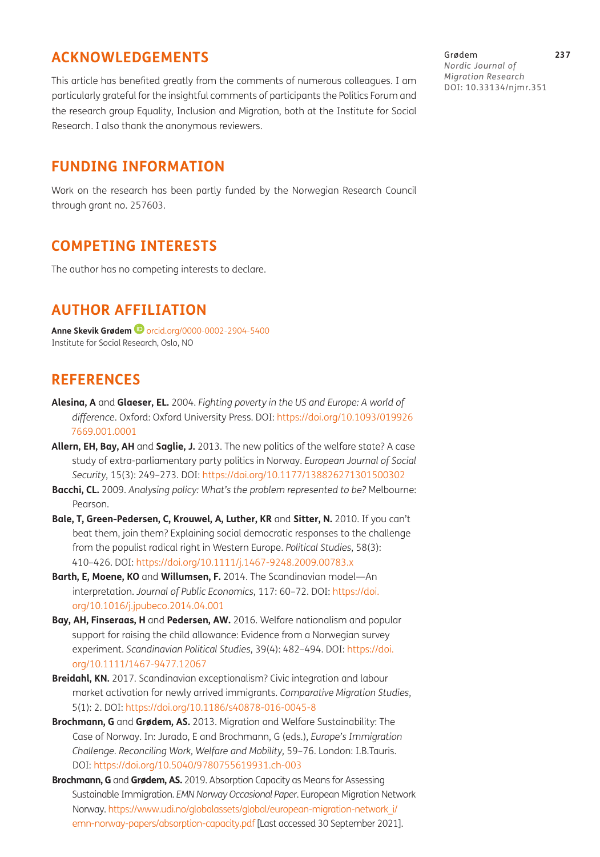# **ACKNOWLEDGEMENTS**

This article has benefited greatly from the comments of numerous colleagues. I am particularly grateful for the insightful comments of participants the Politics Forum and the research group Equality, Inclusion and Migration, both at the Institute for Social Research. I also thank the anonymous reviewers.

## **FUNDING INFORMATION**

Work on the research has been partly funded by the Norwegian Research Council through grant no. 257603.

# **COMPETING INTERESTS**

The author has no competing interests to declare.

# **AUTHOR AFFILIATION**

**Anne Skevik Grødem <sup>in</sup>** [orcid.org/0000-0002-2904-5400](https://orcid.org/0000-0002-2904-5400) Institute for Social Research, Oslo, NO

# **REFERENCES**

- <span id="page-14-4"></span>**Alesina, A** and **Glaeser, EL.** 2004. *Fighting poverty in the US and Europe: A world of difference*. Oxford: Oxford University Press. DOI: [https://doi.org/10.1093/019926](https://doi.org/10.1093/0199267669.001.0001) [7669.001.0001](https://doi.org/10.1093/0199267669.001.0001)
- <span id="page-14-6"></span>**Allern, EH, Bay, AH** and **Saglie, J.** 2013. The new politics of the welfare state? A case study of extra-parliamentary party politics in Norway. *European Journal of Social Security*, 15(3): 249–273. DOI: <https://doi.org/10.1177/138826271301500302>
- <span id="page-14-1"></span>**Bacchi, CL.** 2009. *Analysing policy: What's the problem represented to be?* Melbourne: Pearson.
- <span id="page-14-0"></span>**Bale, T, Green-Pedersen, C, Krouwel, A, Luther, KR** and **Sitter, N.** 2010. If you can't beat them, join them? Explaining social democratic responses to the challenge from the populist radical right in Western Europe. *Political Studies*, 58(3): 410–426. DOI: <https://doi.org/10.1111/j.1467-9248.2009.00783.x>
- <span id="page-14-3"></span>**Barth, E, Moene, KO** and **Willumsen, F.** 2014. The Scandinavian model—An interpretation. *Journal of Public Economics*, 117: 60–72. DOI: [https://doi.](https://doi.org/10.1016/j.jpubeco.2014.04.001) [org/10.1016/j.jpubeco.2014.04.001](https://doi.org/10.1016/j.jpubeco.2014.04.001)
- <span id="page-14-5"></span>**Bay, AH, Finseraas, H** and **Pedersen, AW.** 2016. Welfare nationalism and popular support for raising the child allowance: Evidence from a Norwegian survey experiment. *Scandinavian Political Studies*, 39(4): 482–494. DOI: [https://doi.](https://doi.org/10.1111/1467-9477.12067) [org/10.1111/1467-9477.12067](https://doi.org/10.1111/1467-9477.12067)
- <span id="page-14-2"></span>**Breidahl, KN.** 2017. Scandinavian exceptionalism? Civic integration and labour market activation for newly arrived immigrants. *Comparative Migration Studies*, 5(1): 2. DOI: <https://doi.org/10.1186/s40878-016-0045-8>
- **Brochmann, G** and **Grødem, AS.** 2013. Migration and Welfare Sustainability: The Case of Norway. In: Jurado, E and Brochmann, G (eds.), *Europe's Immigration Challenge. Reconciling Work, Welfare and Mobility,* 59–76. London: I.B.Tauris. DOI: <https://doi.org/10.5040/9780755619931.ch-003>
- **Brochmann, G** and **Grødem, AS.** 2019. Absorption Capacity as Means for Assessing Sustainable Immigration. *EMN Norway Occasional Paper*. European Migration Network Norway. [https://www.udi.no/globalassets/global/european-migration-network\\_i/](https://www.udi.no/globalassets/global/european-migration-network_i/emn-norway-papers/absorption-capacity.pdf) [emn-norway-papers/absorption-capacity.pdf](https://www.udi.no/globalassets/global/european-migration-network_i/emn-norway-papers/absorption-capacity.pdf) [Last accessed 30 September 2021].

Grødem **237** *Nordic Journal of Migration Research* DOI: [10.33134/njmr.351](https://doi.org/10.33134/njmr.351)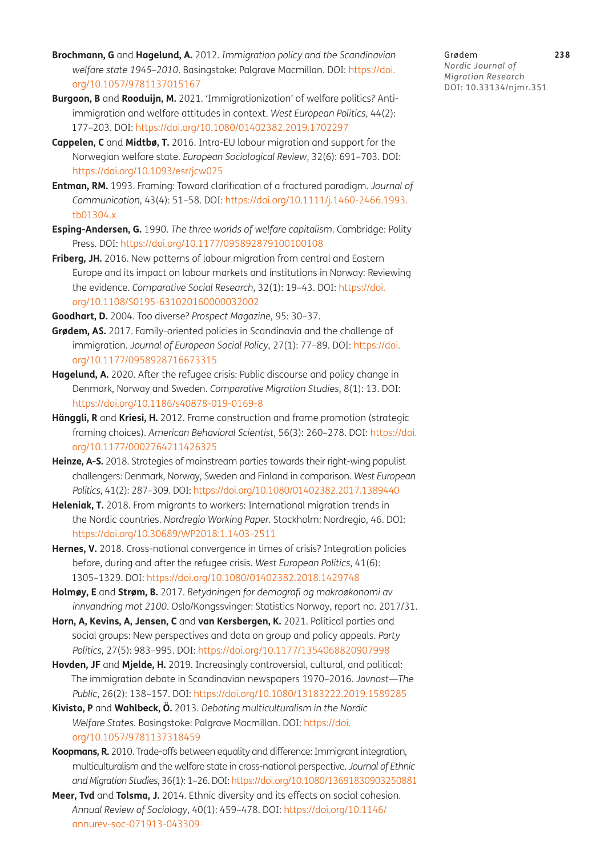- <span id="page-15-6"></span>**Brochmann, G** and **Hagelund, A.** 2012. *Immigration policy and the Scandinavian welfare state 1945–2010*. Basingstoke: Palgrave Macmillan. DOI: [https://doi.](https://doi.org/10.1057/9781137015167) [org/10.1057/9781137015167](https://doi.org/10.1057/9781137015167)
- <span id="page-15-10"></span>**Burgoon, B** and **Rooduijn, M.** 2021. 'Immigrationization' of welfare politics? Antiimmigration and welfare attitudes in context. *West European Politics*, 44(2): 177–203. DOI:<https://doi.org/10.1080/01402382.2019.1702297>
- **Cappelen, C** and **Midtbø, T.** 2016. Intra-EU labour migration and support for the Norwegian welfare state. *European Sociological Review*, 32(6): 691–703. DOI: <https://doi.org/10.1093/esr/jcw025>
- <span id="page-15-3"></span>**Entman, RM.** 1993. Framing: Toward clarification of a fractured paradigm. *Journal of Communication*, 43(4): 51–58. DOI: [https://doi.org/10.1111/j.1460-2466.1993.](https://doi.org/10.1111/j.1460-2466.1993.tb01304.x) [tb01304.x](https://doi.org/10.1111/j.1460-2466.1993.tb01304.x)
- <span id="page-15-4"></span>**Esping-Andersen, G.** 1990. *The three worlds of welfare capitalism.* Cambridge: Polity Press. DOI: <https://doi.org/10.1177/095892879100100108>
- <span id="page-15-12"></span>**Friberg, JH.** 2016. New patterns of labour migration from central and Eastern Europe and its impact on labour markets and institutions in Norway: Reviewing the evidence. *Comparative Social Research,* 32(1): 19–43. DOI: [https://doi.](https://doi.org/10.1108/S0195-631020160000032002) [org/10.1108/S0195-631020160000032002](https://doi.org/10.1108/S0195-631020160000032002)
- <span id="page-15-1"></span>**Goodhart, D.** 2004. Too diverse? *Prospect Magazine*, 95: 30–37.
- **Grødem, AS.** 2017. Family-oriented policies in Scandinavia and the challenge of immigration. *Journal of European Social Policy*, 27(1): 77–89. DOI: [https://doi.](https://doi.org/10.1177/0958928716673315) [org/10.1177/0958928716673315](https://doi.org/10.1177/0958928716673315)
- <span id="page-15-7"></span>**Hagelund, A.** 2020. After the refugee crisis: Public discourse and policy change in Denmark, Norway and Sweden. *Comparative Migration Studies*, 8(1): 13. DOI: <https://doi.org/10.1186/s40878-019-0169-8>
- **Hänggli, R** and **Kriesi, H.** 2012. Frame construction and frame promotion (strategic framing choices). *American Behavioral Scientist*, 56(3): 260–278. DOI: [https://doi.](https://doi.org/10.1177/0002764211426325) [org/10.1177/0002764211426325](https://doi.org/10.1177/0002764211426325)
- <span id="page-15-9"></span>**Heinze, A-S.** 2018. Strategies of mainstream parties towards their right-wing populist challengers: Denmark, Norway, Sweden and Finland in comparison. *West European Politics*, 41(2): 287–309. DOI:<https://doi.org/10.1080/01402382.2017.1389440>
- <span id="page-15-5"></span>**Heleniak, T.** 2018. From migrants to workers: International migration trends in the Nordic countries. *Nordregio Working Paper.* Stockholm: Nordregio, 46. DOI: <https://doi.org/10.30689/WP2018:1.1403-2511>
- <span id="page-15-2"></span>**Hernes, V.** 2018. Cross-national convergence in times of crisis? Integration policies before, during and after the refugee crisis. *West European Politics*, 41(6): 1305–1329. DOI:<https://doi.org/10.1080/01402382.2018.1429748>
- **Holmøy, E** and **Strøm, B.** 2017. *Betydningen for demografi og makroøkonomi av innvandring mot 2100*. Oslo/Kongssvinger: Statistics Norway, report no. 2017/31.
- <span id="page-15-13"></span>**Horn, A, Kevins, A, Jensen, C** and **van Kersbergen, K.** 2021. Political parties and social groups: New perspectives and data on group and policy appeals. *Party Politics,* 27(5): 983–995. DOI:<https://doi.org/10.1177/1354068820907998>
- <span id="page-15-8"></span>**Hovden, JF** and **Mjelde, H.** 2019. Increasingly controversial, cultural, and political: The immigration debate in Scandinavian newspapers 1970–2016. *Javnost—The Public*, 26(2): 138–157. DOI:<https://doi.org/10.1080/13183222.2019.1589285>
- **Kivisto, P** and **Wahlbeck, Ö.** 2013. *Debating multiculturalism in the Nordic Welfare States*. Basingstoke: Palgrave Macmillan. DOI: [https://doi.](https://doi.org/10.1057/9781137318459) [org/10.1057/9781137318459](https://doi.org/10.1057/9781137318459)
- <span id="page-15-0"></span>**Koopmans, R.** 2010. Trade-offs between equality and difference: Immigrant integration, multiculturalism and the welfare state in cross-national perspective. *Journal of Ethnic and Migration Studies*, 36(1): 1–26. DOI: <https://doi.org/10.1080/13691830903250881>
- <span id="page-15-11"></span>**Meer, Tvd** and **Tolsma, J.** 2014. Ethnic diversity and its effects on social cohesion. *Annual Review of Sociology*, 40(1): 459–478. DOI: [https://doi.org/10.1146/](https://doi.org/10.1146/annurev-soc-071913-043309) [annurev-soc-071913-043309](https://doi.org/10.1146/annurev-soc-071913-043309)

Grødem **238** *Nordic Journal of Migration Research* DOI: [10.33134/njmr.351](https://doi.org/10.33134/njmr.351)